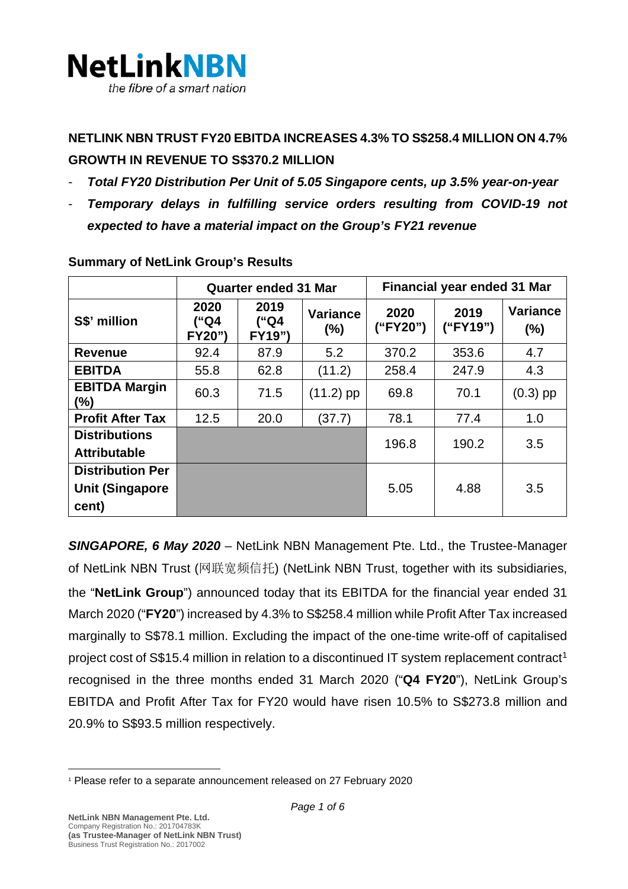

# **NETLINK NBN TRUST FY20 EBITDA INCREASES 4.3% TO S\$258.4 MILLION ON 4.7% GROWTH IN REVENUE TO S\$370.2 MILLION**

- *Total FY20 Distribution Per Unit of 5.05 Singapore cents, up 3.5% year-on-year*
- *Temporary delays in fulfilling service orders resulting from COVID-19 not expected to have a material impact on the Group's FY21 revenue*

|                                                            | <b>Quarter ended 31 Mar</b> |                        |                           | <b>Financial year ended 31 Mar</b> |                  |                        |
|------------------------------------------------------------|-----------------------------|------------------------|---------------------------|------------------------------------|------------------|------------------------|
| S\$' million                                               | 2020<br>("Q4<br>FY20")      | 2019<br>("Q4<br>FY19") | <b>Variance</b><br>$(\%)$ | 2020<br>("FY20")                   | 2019<br>("FY19") | <b>Variance</b><br>(%) |
| <b>Revenue</b>                                             | 92.4                        | 87.9                   | 5.2                       | 370.2                              | 353.6            | 4.7                    |
| <b>EBITDA</b>                                              | 55.8                        | 62.8                   | (11.2)                    | 258.4                              | 247.9            | 4.3                    |
| <b>EBITDA Margin</b><br>(%)                                | 60.3                        | 71.5                   | $(11.2)$ pp               | 69.8                               | 70.1             | $(0.3)$ pp             |
| <b>Profit After Tax</b>                                    | 12.5                        | 20.0                   | (37.7)                    | 78.1                               | 77.4             | 1.0                    |
| <b>Distributions</b><br><b>Attributable</b>                |                             |                        |                           | 196.8                              | 190.2            | 3.5                    |
| <b>Distribution Per</b><br><b>Unit (Singapore</b><br>cent) |                             |                        |                           | 5.05                               | 4.88             | 3.5                    |

#### **Summary of NetLink Group's Results**

*SINGAPORE, 6 May 2020 –* NetLink NBN Management Pte. Ltd., the Trustee-Manager of NetLink NBN Trust (网联宽频信托) (NetLink NBN Trust, together with its subsidiaries, the "**NetLink Group**") announced today that its EBITDA for the financial year ended 31 March 2020 ("**FY20**") increased by 4.3% to S\$258.4 million while Profit After Tax increased marginally to S\$78.1 million. Excluding the impact of the one-time write-off of capitalised project cost of S\$[1](#page-0-0)5.4 million in relation to a discontinued IT system replacement contract<sup>1</sup> recognised in the three months ended 31 March 2020 ("**Q4 FY20**"), NetLink Group's EBITDA and Profit After Tax for FY20 would have risen 10.5% to S\$273.8 million and 20.9% to S\$93.5 million respectively.

<span id="page-0-0"></span><sup>1</sup> Please refer to a separate announcement released on 27 February 2020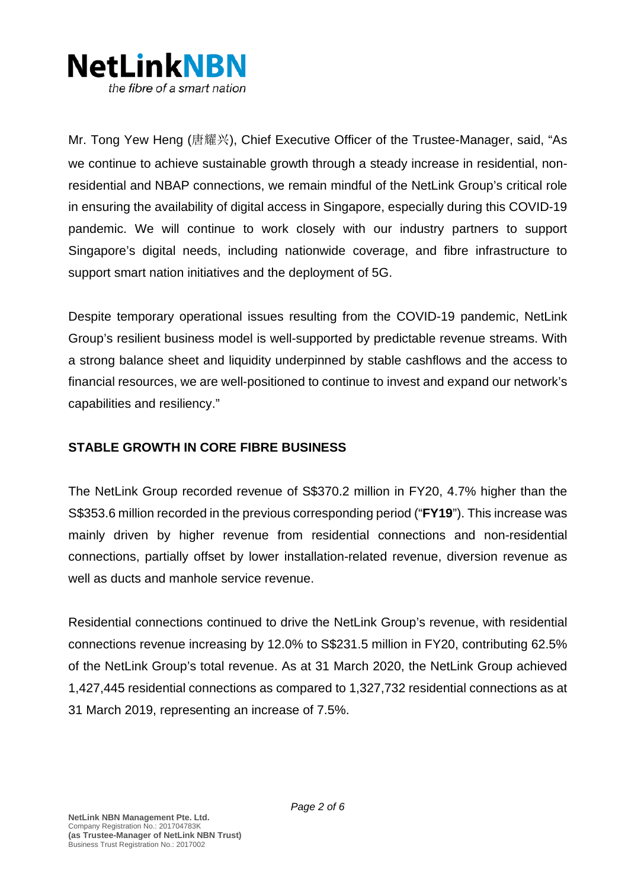

Mr. Tong Yew Heng (唐耀兴), Chief Executive Officer of the Trustee-Manager, said, "As we continue to achieve sustainable growth through a steady increase in residential, nonresidential and NBAP connections, we remain mindful of the NetLink Group's critical role in ensuring the availability of digital access in Singapore, especially during this COVID-19 pandemic. We will continue to work closely with our industry partners to support Singapore's digital needs, including nationwide coverage, and fibre infrastructure to support smart nation initiatives and the deployment of 5G.

Despite temporary operational issues resulting from the COVID-19 pandemic, NetLink Group's resilient business model is well-supported by predictable revenue streams. With a strong balance sheet and liquidity underpinned by stable cashflows and the access to financial resources, we are well-positioned to continue to invest and expand our network's capabilities and resiliency."

## **STABLE GROWTH IN CORE FIBRE BUSINESS**

The NetLink Group recorded revenue of S\$370.2 million in FY20, 4.7% higher than the S\$353.6 million recorded in the previous corresponding period ("**FY19**"). This increase was mainly driven by higher revenue from residential connections and non-residential connections, partially offset by lower installation-related revenue, diversion revenue as well as ducts and manhole service revenue.

Residential connections continued to drive the NetLink Group's revenue, with residential connections revenue increasing by 12.0% to S\$231.5 million in FY20, contributing 62.5% of the NetLink Group's total revenue. As at 31 March 2020, the NetLink Group achieved 1,427,445 residential connections as compared to 1,327,732 residential connections as at 31 March 2019, representing an increase of 7.5%.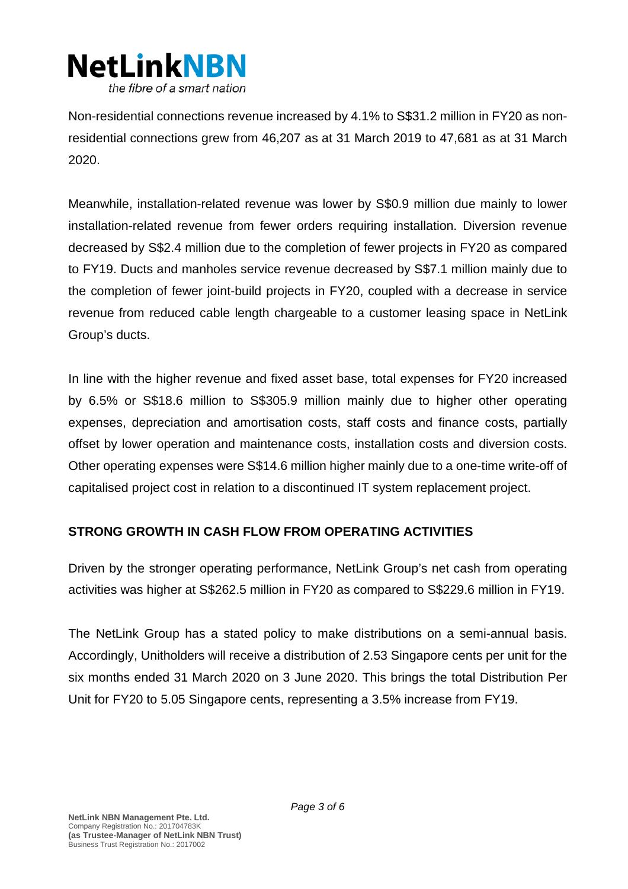

Non-residential connections revenue increased by 4.1% to S\$31.2 million in FY20 as nonresidential connections grew from 46,207 as at 31 March 2019 to 47,681 as at 31 March 2020.

Meanwhile, installation-related revenue was lower by S\$0.9 million due mainly to lower installation-related revenue from fewer orders requiring installation. Diversion revenue decreased by S\$2.4 million due to the completion of fewer projects in FY20 as compared to FY19. Ducts and manholes service revenue decreased by S\$7.1 million mainly due to the completion of fewer joint-build projects in FY20, coupled with a decrease in service revenue from reduced cable length chargeable to a customer leasing space in NetLink Group's ducts.

In line with the higher revenue and fixed asset base, total expenses for FY20 increased by 6.5% or S\$18.6 million to S\$305.9 million mainly due to higher other operating expenses, depreciation and amortisation costs, staff costs and finance costs, partially offset by lower operation and maintenance costs, installation costs and diversion costs. Other operating expenses were S\$14.6 million higher mainly due to a one-time write-off of capitalised project cost in relation to a discontinued IT system replacement project.

# **STRONG GROWTH IN CASH FLOW FROM OPERATING ACTIVITIES**

Driven by the stronger operating performance, NetLink Group's net cash from operating activities was higher at S\$262.5 million in FY20 as compared to S\$229.6 million in FY19.

The NetLink Group has a stated policy to make distributions on a semi-annual basis. Accordingly, Unitholders will receive a distribution of 2.53 Singapore cents per unit for the six months ended 31 March 2020 on 3 June 2020. This brings the total Distribution Per Unit for FY20 to 5.05 Singapore cents, representing a 3.5% increase from FY19.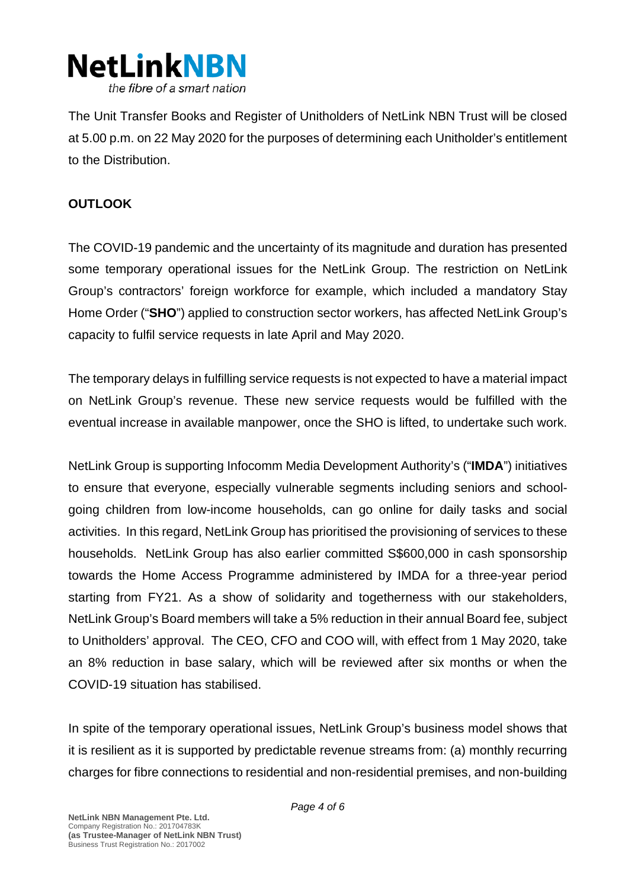

The Unit Transfer Books and Register of Unitholders of NetLink NBN Trust will be closed at 5.00 p.m. on 22 May 2020 for the purposes of determining each Unitholder's entitlement to the Distribution.

# **OUTLOOK**

The COVID-19 pandemic and the uncertainty of its magnitude and duration has presented some temporary operational issues for the NetLink Group. The restriction on NetLink Group's contractors' foreign workforce for example, which included a mandatory Stay Home Order ("**SHO**") applied to construction sector workers, has affected NetLink Group's capacity to fulfil service requests in late April and May 2020.

The temporary delays in fulfilling service requests is not expected to have a material impact on NetLink Group's revenue. These new service requests would be fulfilled with the eventual increase in available manpower, once the SHO is lifted, to undertake such work.

NetLink Group is supporting Infocomm Media Development Authority's ("**IMDA**") initiatives to ensure that everyone, especially vulnerable segments including seniors and schoolgoing children from low-income households, can go online for daily tasks and social activities. In this regard, NetLink Group has prioritised the provisioning of services to these households. NetLink Group has also earlier committed S\$600,000 in cash sponsorship towards the Home Access Programme administered by IMDA for a three-year period starting from FY21. As a show of solidarity and togetherness with our stakeholders, NetLink Group's Board members will take a 5% reduction in their annual Board fee, subject to Unitholders' approval. The CEO, CFO and COO will, with effect from 1 May 2020, take an 8% reduction in base salary, which will be reviewed after six months or when the COVID-19 situation has stabilised.

In spite of the temporary operational issues, NetLink Group's business model shows that it is resilient as it is supported by predictable revenue streams from: (a) monthly recurring charges for fibre connections to residential and non-residential premises, and non-building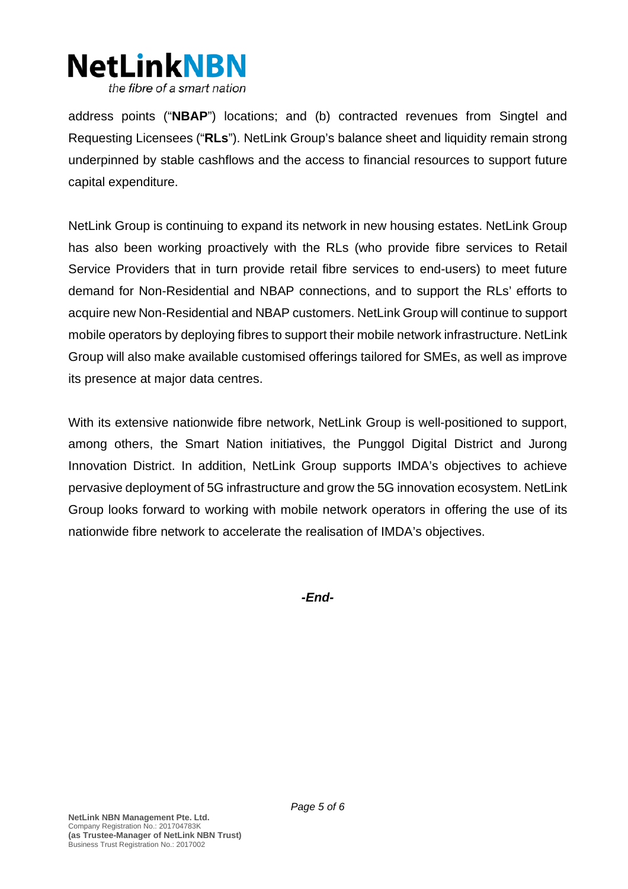

address points ("**NBAP**") locations; and (b) contracted revenues from Singtel and Requesting Licensees ("**RLs**"). NetLink Group's balance sheet and liquidity remain strong underpinned by stable cashflows and the access to financial resources to support future capital expenditure.

NetLink Group is continuing to expand its network in new housing estates. NetLink Group has also been working proactively with the RLs (who provide fibre services to Retail Service Providers that in turn provide retail fibre services to end-users) to meet future demand for Non-Residential and NBAP connections, and to support the RLs' efforts to acquire new Non-Residential and NBAP customers. NetLink Group will continue to support mobile operators by deploying fibres to support their mobile network infrastructure. NetLink Group will also make available customised offerings tailored for SMEs, as well as improve its presence at major data centres.

With its extensive nationwide fibre network, NetLink Group is well-positioned to support, among others, the Smart Nation initiatives, the Punggol Digital District and Jurong Innovation District. In addition, NetLink Group supports IMDA's objectives to achieve pervasive deployment of 5G infrastructure and grow the 5G innovation ecosystem. NetLink Group looks forward to working with mobile network operators in offering the use of its nationwide fibre network to accelerate the realisation of IMDA's objectives.

*-End-*